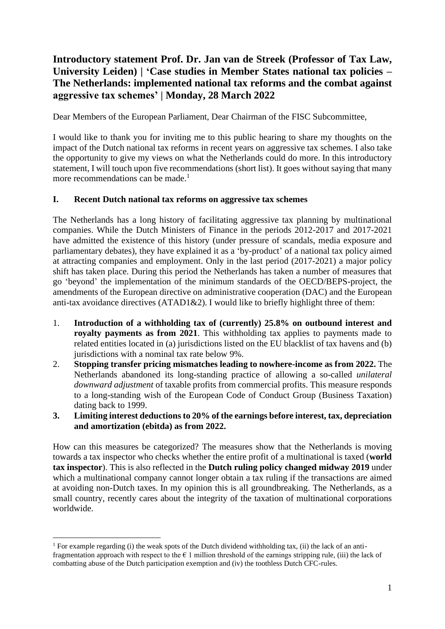# **Introductory statement Prof. Dr. Jan van de Streek (Professor of Tax Law, University Leiden) | 'Case studies in Member States national tax policies – The Netherlands: implemented national tax reforms and the combat against aggressive tax schemes' | Monday, 28 March 2022**

Dear Members of the European Parliament, Dear Chairman of the FISC Subcommittee,

I would like to thank you for inviting me to this public hearing to share my thoughts on the impact of the Dutch national tax reforms in recent years on aggressive tax schemes. I also take the opportunity to give my views on what the Netherlands could do more. In this introductory statement, I will touch upon five recommendations (short list). It goes without saying that many more recommendations can be made.<sup>1</sup>

## **I. Recent Dutch national tax reforms on aggressive tax schemes**

The Netherlands has a long history of facilitating aggressive tax planning by multinational companies. While the Dutch Ministers of Finance in the periods 2012-2017 and 2017-2021 have admitted the existence of this history (under pressure of scandals, media exposure and parliamentary debates), they have explained it as a 'by-product' of a national tax policy aimed at attracting companies and employment. Only in the last period (2017-2021) a major policy shift has taken place. During this period the Netherlands has taken a number of measures that go 'beyond' the implementation of the minimum standards of the OECD/BEPS-project, the amendments of the European directive on administrative cooperation (DAC) and the European anti-tax avoidance directives  $(ATAD1&2)$ . I would like to briefly highlight three of them:

- 1. **Introduction of a withholding tax of (currently) 25.8% on outbound interest and royalty payments as from 2021**. This withholding tax applies to payments made to related entities located in (a) jurisdictions listed on the EU blacklist of tax havens and (b) jurisdictions with a nominal tax rate below 9%.
- 2. **Stopping transfer pricing mismatches leading to nowhere-income as from 2022.** The Netherlands abandoned its long-standing practice of allowing a so-called *unilateral downward adjustment* of taxable profits from commercial profits. This measure responds to a long-standing wish of the European Code of Conduct Group (Business Taxation) dating back to 1999.
- **3. Limiting interest deductions to 20% of the earnings before interest, tax, depreciation and amortization (ebitda) as from 2022.**

How can this measures be categorized? The measures show that the Netherlands is moving towards a tax inspector who checks whether the entire profit of a multinational is taxed (**world tax inspector**). This is also reflected in the **Dutch ruling policy changed midway 2019** under which a multinational company cannot longer obtain a tax ruling if the transactions are aimed at avoiding non-Dutch taxes. In my opinion this is all groundbreaking. The Netherlands, as a small country, recently cares about the integrity of the taxation of multinational corporations worldwide.

<sup>&</sup>lt;sup>1</sup> For example regarding (i) the weak spots of the Dutch dividend withholding tax, (ii) the lack of an antifragmentation approach with respect to the  $\epsilon$  1 million threshold of the earnings stripping rule, (iii) the lack of combatting abuse of the Dutch participation exemption and (iv) the toothless Dutch CFC-rules.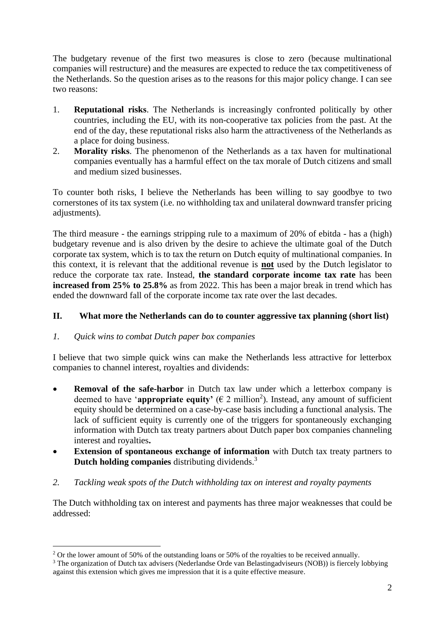The budgetary revenue of the first two measures is close to zero (because multinational companies will restructure) and the measures are expected to reduce the tax competitiveness of the Netherlands. So the question arises as to the reasons for this major policy change. I can see two reasons:

- 1. **Reputational risks**. The Netherlands is increasingly confronted politically by other countries, including the EU, with its non-cooperative tax policies from the past. At the end of the day, these reputational risks also harm the attractiveness of the Netherlands as a place for doing business.
- 2. **Morality risks**. The phenomenon of the Netherlands as a tax haven for multinational companies eventually has a harmful effect on the tax morale of Dutch citizens and small and medium sized businesses.

To counter both risks, I believe the Netherlands has been willing to say goodbye to two cornerstones of its tax system (i.e. no withholding tax and unilateral downward transfer pricing adjustments).

The third measure - the earnings stripping rule to a maximum of 20% of ebitda - has a (high) budgetary revenue and is also driven by the desire to achieve the ultimate goal of the Dutch corporate tax system, which is to tax the return on Dutch equity of multinational companies. In this context, it is relevant that the additional revenue is **not** used by the Dutch legislator to reduce the corporate tax rate. Instead, **the standard corporate income tax rate** has been **increased from 25% to 25.8%** as from 2022. This has been a major break in trend which has ended the downward fall of the corporate income tax rate over the last decades.

## **II. What more the Netherlands can do to counter aggressive tax planning (short list)**

#### *1. Quick wins to combat Dutch paper box companies*

I believe that two simple quick wins can make the Netherlands less attractive for letterbox companies to channel interest, royalties and dividends:

- **Removal of the safe-harbor** in Dutch tax law under which a letterbox company is deemed to have '**appropriate equity'** ( $\epsilon$  2 million<sup>2</sup>). Instead, any amount of sufficient equity should be determined on a case-by-case basis including a functional analysis. The lack of sufficient equity is currently one of the triggers for spontaneously exchanging information with Dutch tax treaty partners about Dutch paper box companies channeling interest and royalties**.**
- **Extension of spontaneous exchange of information** with Dutch tax treaty partners to **Dutch holding companies** distributing dividends. 3
- *2. Tackling weak spots of the Dutch withholding tax on interest and royalty payments*

The Dutch withholding tax on interest and payments has three major weaknesses that could be addressed:

<sup>&</sup>lt;sup>2</sup> Or the lower amount of 50% of the outstanding loans or 50% of the royalties to be received annually.

<sup>&</sup>lt;sup>3</sup> The organization of Dutch tax advisers (Nederlandse Orde van Belastingadviseurs (NOB)) is fiercely lobbying against this extension which gives me impression that it is a quite effective measure.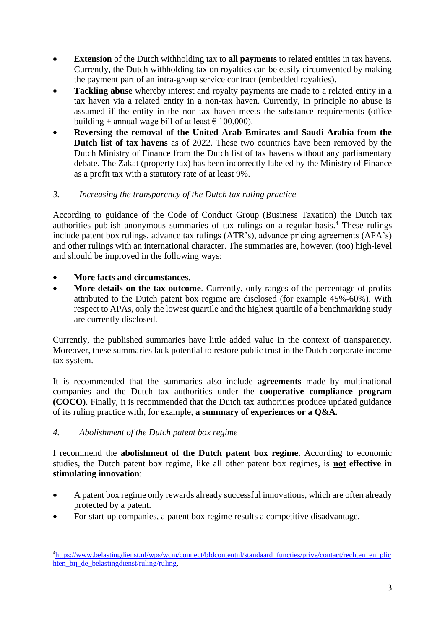- **Extension** of the Dutch withholding tax to **all payments** to related entities in tax havens. Currently, the Dutch withholding tax on royalties can be easily circumvented by making the payment part of an intra-group service contract (embedded royalties).
- **Tackling abuse** whereby interest and royalty payments are made to a related entity in a tax haven via a related entity in a non-tax haven. Currently, in principle no abuse is assumed if the entity in the non-tax haven meets the substance requirements (office building + annual wage bill of at least  $\epsilon$  100,000).
- **Reversing the removal of the United Arab Emirates and Saudi Arabia from the Dutch list of tax havens** as of 2022. These two countries have been removed by the Dutch Ministry of Finance from the Dutch list of tax havens without any parliamentary debate. The Zakat (property tax) has been incorrectly labeled by the Ministry of Finance as a profit tax with a statutory rate of at least 9%.

## *3. Increasing the transparency of the Dutch tax ruling practice*

According to guidance of the Code of Conduct Group (Business Taxation) the Dutch tax authorities publish anonymous summaries of tax rulings on a regular basis. <sup>4</sup> These rulings include patent box rulings, advance tax rulings (ATR's), advance pricing agreements (APA's) and other rulings with an international character. The summaries are, however, (too) high-level and should be improved in the following ways:

- **More facts and circumstances**.
- **More details on the tax outcome**. Currently, only ranges of the percentage of profits attributed to the Dutch patent box regime are disclosed (for example 45%-60%). With respect to APAs, only the lowest quartile and the highest quartile of a benchmarking study are currently disclosed.

Currently, the published summaries have little added value in the context of transparency. Moreover, these summaries lack potential to restore public trust in the Dutch corporate income tax system.

It is recommended that the summaries also include **agreements** made by multinational companies and the Dutch tax authorities under the **cooperative compliance program (COCO)**. Finally, it is recommended that the Dutch tax authorities produce updated guidance of its ruling practice with, for example, **a summary of experiences or a Q&A**.

#### *4. Abolishment of the Dutch patent box regime*

I recommend the **abolishment of the Dutch patent box regime**. According to economic studies, the Dutch patent box regime, like all other patent box regimes, is **not effective in stimulating innovation**:

- A patent box regime only rewards already successful innovations, which are often already protected by a patent.
- For start-up companies, a patent box regime results a competitive disadvantage.

<sup>4</sup>[https://www.belastingdienst.nl/wps/wcm/connect/bldcontentnl/standaard\\_functies/prive/contact/rechten\\_en\\_plic](https://www.belastingdienst.nl/wps/wcm/connect/bldcontentnl/standaard_functies/prive/contact/rechten_en_plichten_bij_de_belastingdienst/ruling/ruling) hten bij de belastingdienst/ruling/ruling.